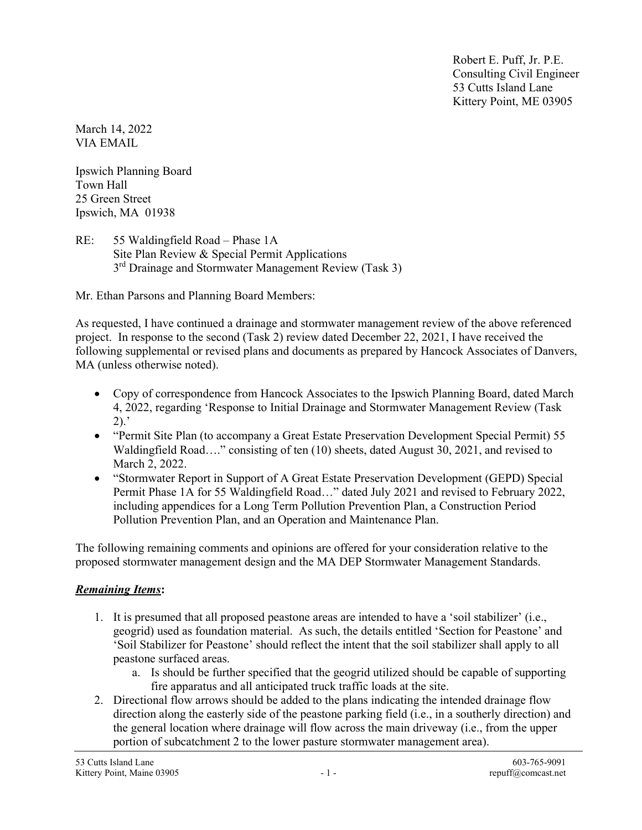Robert E. Puff, Jr. P.E. Consulting Civil Engineer 53 Cutts Island Lane Kittery Point, ME 03905

March 14, 2022 VIA EMAIL

Ipswich Planning Board Town Hall 25 Green Street Ipswich, MA 01938

RE: 55 Waldingfield Road – Phase 1A Site Plan Review & Special Permit Applications 3<sup>rd</sup> Drainage and Stormwater Management Review (Task 3)

Mr. Ethan Parsons and Planning Board Members:

As requested, I have continued a drainage and stormwater management review of the above referenced project. In response to the second (Task 2) review dated December 22, 2021, I have received the following supplemental or revised plans and documents as prepared by Hancock Associates of Danvers, MA (unless otherwise noted).

- Copy of correspondence from Hancock Associates to the Ipswich Planning Board, dated March 4, 2022, regarding 'Response to Initial Drainage and Stormwater Management Review (Task  $2)$ .
- "Permit Site Plan (to accompany a Great Estate Preservation Development Special Permit) 55 Waldingfield Road…." consisting of ten (10) sheets, dated August 30, 2021, and revised to March 2, 2022.
- "Stormwater Report in Support of A Great Estate Preservation Development (GEPD) Special Permit Phase 1A for 55 Waldingfield Road..." dated July 2021 and revised to February 2022, including appendices for a Long Term Pollution Prevention Plan, a Construction Period Pollution Prevention Plan, and an Operation and Maintenance Plan.

The following remaining comments and opinions are offered for your consideration relative to the proposed stormwater management design and the MA DEP Stormwater Management Standards.

## Remaining Items:

- 1. It is presumed that all proposed peastone areas are intended to have a 'soil stabilizer' (i.e., geogrid) used as foundation material. As such, the details entitled 'Section for Peastone' and 'Soil Stabilizer for Peastone' should reflect the intent that the soil stabilizer shall apply to all peastone surfaced areas.
	- a. Is should be further specified that the geogrid utilized should be capable of supporting fire apparatus and all anticipated truck traffic loads at the site.
- 2. Directional flow arrows should be added to the plans indicating the intended drainage flow direction along the easterly side of the peastone parking field (i.e., in a southerly direction) and the general location where drainage will flow across the main driveway (i.e., from the upper portion of subcatchment 2 to the lower pasture stormwater management area).